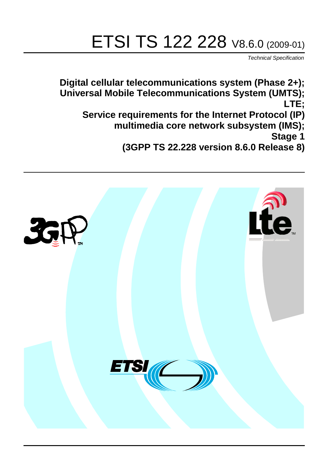# ETSI TS 122 228 V8.6.0 (2009-01)

*Technical Specification*

**Digital cellular telecommunications system (Phase 2+); Universal Mobile Telecommunications System (UMTS); LTE; Service requirements for the Internet Protocol (IP) multimedia core network subsystem (IMS); Stage 1 (3GPP TS 22.228 version 8.6.0 Release 8)**

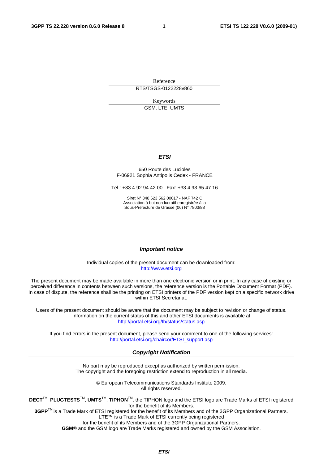Reference RTS/TSGS-0122228v860

Keywords

GSM, LTE, UMTS

#### *ETSI*

#### 650 Route des Lucioles F-06921 Sophia Antipolis Cedex - FRANCE

Tel.: +33 4 92 94 42 00 Fax: +33 4 93 65 47 16

Siret N° 348 623 562 00017 - NAF 742 C Association à but non lucratif enregistrée à la Sous-Préfecture de Grasse (06) N° 7803/88

#### *Important notice*

Individual copies of the present document can be downloaded from: [http://www.etsi.org](http://www.etsi.org/)

The present document may be made available in more than one electronic version or in print. In any case of existing or perceived difference in contents between such versions, the reference version is the Portable Document Format (PDF). In case of dispute, the reference shall be the printing on ETSI printers of the PDF version kept on a specific network drive within ETSI Secretariat.

Users of the present document should be aware that the document may be subject to revision or change of status. Information on the current status of this and other ETSI documents is available at <http://portal.etsi.org/tb/status/status.asp>

If you find errors in the present document, please send your comment to one of the following services: [http://portal.etsi.org/chaircor/ETSI\\_support.asp](http://portal.etsi.org/chaircor/ETSI_support.asp)

#### *Copyright Notification*

No part may be reproduced except as authorized by written permission. The copyright and the foregoing restriction extend to reproduction in all media.

> © European Telecommunications Standards Institute 2009. All rights reserved.

**DECT**TM, **PLUGTESTS**TM, **UMTS**TM, **TIPHON**TM, the TIPHON logo and the ETSI logo are Trade Marks of ETSI registered for the benefit of its Members.

**3GPP**TM is a Trade Mark of ETSI registered for the benefit of its Members and of the 3GPP Organizational Partners. **LTE**™ is a Trade Mark of ETSI currently being registered

for the benefit of its Members and of the 3GPP Organizational Partners.

**GSM**® and the GSM logo are Trade Marks registered and owned by the GSM Association.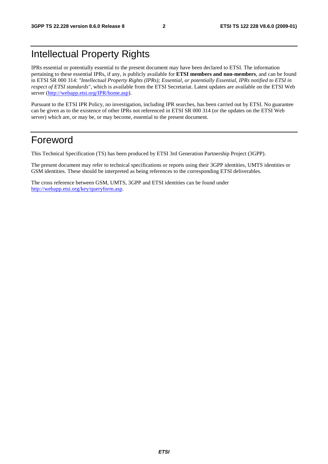## Intellectual Property Rights

IPRs essential or potentially essential to the present document may have been declared to ETSI. The information pertaining to these essential IPRs, if any, is publicly available for **ETSI members and non-members**, and can be found in ETSI SR 000 314: *"Intellectual Property Rights (IPRs); Essential, or potentially Essential, IPRs notified to ETSI in respect of ETSI standards"*, which is available from the ETSI Secretariat. Latest updates are available on the ETSI Web server (<http://webapp.etsi.org/IPR/home.asp>).

Pursuant to the ETSI IPR Policy, no investigation, including IPR searches, has been carried out by ETSI. No guarantee can be given as to the existence of other IPRs not referenced in ETSI SR 000 314 (or the updates on the ETSI Web server) which are, or may be, or may become, essential to the present document.

## Foreword

This Technical Specification (TS) has been produced by ETSI 3rd Generation Partnership Project (3GPP).

The present document may refer to technical specifications or reports using their 3GPP identities, UMTS identities or GSM identities. These should be interpreted as being references to the corresponding ETSI deliverables.

The cross reference between GSM, UMTS, 3GPP and ETSI identities can be found under [http://webapp.etsi.org/key/queryform.asp.](http://webapp.etsi.org/key/queryform.asp)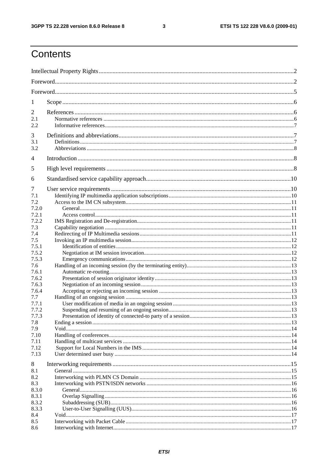$\mathbf{3}$ 

## Contents

| 1            |  |
|--------------|--|
| 2            |  |
| 2.1          |  |
| 2.2          |  |
| 3            |  |
| 3.1          |  |
| 3.2          |  |
| 4            |  |
| 5            |  |
| 6            |  |
| 7            |  |
| 7.1          |  |
| 7.2          |  |
| 7.2.0        |  |
| 7.2.1        |  |
| 7.2.2        |  |
| 7.3          |  |
| 7.4          |  |
| 7.5<br>7.5.1 |  |
| 7.5.2        |  |
| 7.5.3        |  |
| 7.6          |  |
| 7.6.1        |  |
| 7.6.2        |  |
| 7.6.3        |  |
| 7.6.4        |  |
| 7.7          |  |
| 7.7.1        |  |
| 7.7.2        |  |
| 7.7.3        |  |
| 7.8          |  |
| 7.9<br>7.10  |  |
| 7.11         |  |
| 7.12         |  |
| 7.13         |  |
| 8            |  |
| 8.1          |  |
| 8.2          |  |
| 8.3          |  |
| 8.3.0        |  |
| 8.3.1        |  |
| 8.3.2        |  |
| 8.3.3<br>8.4 |  |
| 8.5          |  |
| 8.6          |  |
|              |  |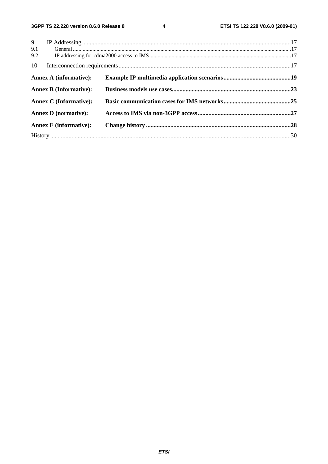$\overline{\mathbf{4}}$ 

| 9                             |  |  |  |  |  |  |  |  |
|-------------------------------|--|--|--|--|--|--|--|--|
| 9.1                           |  |  |  |  |  |  |  |  |
| 9.2                           |  |  |  |  |  |  |  |  |
| 10                            |  |  |  |  |  |  |  |  |
| <b>Annex A (informative):</b> |  |  |  |  |  |  |  |  |
| <b>Annex B (Informative):</b> |  |  |  |  |  |  |  |  |
| <b>Annex C</b> (Informative): |  |  |  |  |  |  |  |  |
| <b>Annex D</b> (normative):   |  |  |  |  |  |  |  |  |
| <b>Annex E</b> (informative): |  |  |  |  |  |  |  |  |
|                               |  |  |  |  |  |  |  |  |
|                               |  |  |  |  |  |  |  |  |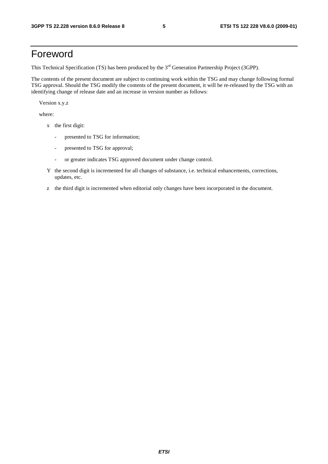## Foreword

This Technical Specification (TS) has been produced by the 3<sup>rd</sup> Generation Partnership Project (3GPP).

The contents of the present document are subject to continuing work within the TSG and may change following formal TSG approval. Should the TSG modify the contents of the present document, it will be re-released by the TSG with an identifying change of release date and an increase in version number as follows:

Version x.y.z

where:

- x the first digit:
	- presented to TSG for information;
	- presented to TSG for approval;
	- or greater indicates TSG approved document under change control.
- Y the second digit is incremented for all changes of substance, i.e. technical enhancements, corrections, updates, etc.
- z the third digit is incremented when editorial only changes have been incorporated in the document.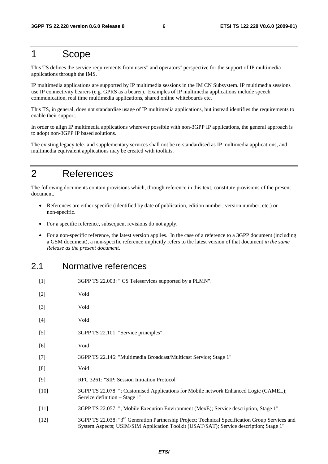## 1 Scope

This TS defines the service requirements from users" and operators" perspective for the support of IP multimedia applications through the IMS.

IP multimedia applications are supported by IP multimedia sessions in the IM CN Subsystem. IP multimedia sessions use IP connectivity bearers (e.g. GPRS as a bearer). Examples of IP multimedia applications include speech communication, real time multimedia applications, shared online whiteboards etc.

This TS, in general, does not standardise usage of IP multimedia applications, but instead identifies the requirements to enable their support.

In order to align IP multimedia applications wherever possible with non-3GPP IP applications, the general approach is to adopt non-3GPP IP based solutions.

The existing legacy tele- and supplementary services shall not be re-standardised as IP multimedia applications, and multimedia equivalent applications may be created with toolkits.

## 2 References

The following documents contain provisions which, through reference in this text, constitute provisions of the present document.

- References are either specific (identified by date of publication, edition number, version number, etc.) or non-specific.
- For a specific reference, subsequent revisions do not apply.
- For a non-specific reference, the latest version applies. In the case of a reference to a 3GPP document (including a GSM document), a non-specific reference implicitly refers to the latest version of that document *in the same Release as the present document*.

### 2.1 Normative references

| $[1]$  | 3GPP TS 22.003: " CS Teleservices supported by a PLMN".                                                                                                                                               |
|--------|-------------------------------------------------------------------------------------------------------------------------------------------------------------------------------------------------------|
| $[2]$  | Void                                                                                                                                                                                                  |
| $[3]$  | Void                                                                                                                                                                                                  |
| $[4]$  | Void                                                                                                                                                                                                  |
| $[5]$  | 3GPP TS 22.101: "Service principles".                                                                                                                                                                 |
| [6]    | Void                                                                                                                                                                                                  |
| $[7]$  | 3GPP TS 22.146: "Multimedia Broadcast/Multicast Service; Stage 1"                                                                                                                                     |
| [8]    | Void                                                                                                                                                                                                  |
| $[9]$  | RFC 3261: "SIP: Session Initiation Protocol"                                                                                                                                                          |
| $[10]$ | 3GPP TS 22.078: "; Customised Applications for Mobile network Enhanced Logic (CAMEL);<br>Service definition – Stage 1"                                                                                |
| $[11]$ | 3GPP TS 22.057: "; Mobile Execution Environment (MexE); Service description, Stage 1"                                                                                                                 |
| $[12]$ | 3GPP TS 22.038: "3 <sup>rd</sup> Generation Partnership Project; Technical Specification Group Services and<br>System Aspects; USIM/SIM Application Toolkit (USAT/SAT); Service description; Stage 1" |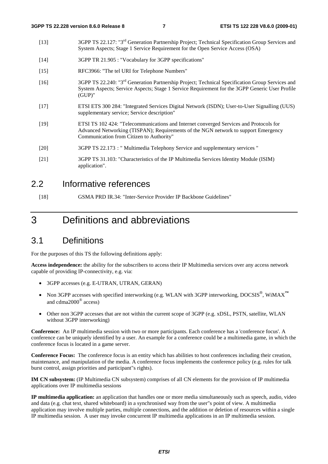- [13] 3GPP TS 22.127: "3rd Generation Partnership Project; Technical Specification Group Services and System Aspects; Stage 1 Service Requirement for the Open Service Access (OSA)
- [14] 3GPP TR 21.905 : "Vocabulary for 3GPP specifications"
- [15] RFC3966: "The tel URI for Telephone Numbers"
- [16] 3GPP TS 22.240: "3rd Generation Partnership Project; Technical Specification Group Services and System Aspects; Service Aspects; Stage 1 Service Requirement for the 3GPP Generic User Profile (GUP)"
- [17] ETSI ETS 300 284: "Integrated Services Digital Network (ISDN); User-to-User Signalling (UUS) supplementary service; Service description"
- [19] ETSI TS 102 424: "Telecommunications and Internet converged Services and Protocols for Advanced Networking (TISPAN); Requirements of the NGN network to support Emergency Communication from Citizen to Authority"
- [20] 3GPP TS 22.173 : " Multimedia Telephony Service and supplementary services "
- [21] 3GPP TS 31.103: "Characteristics of the IP Multimedia Services Identity Module (ISIM) application".

#### 2.2 Informative references

[18] GSMA PRD IR.34: "Inter-Service Provider IP Backbone Guidelines"

## 3 Definitions and abbreviations

#### 3.1 Definitions

For the purposes of this TS the following definitions apply:

**Access independence:** the ability for the subscribers to access their IP Multimedia services over any access network capable of providing IP-connectivity, e.g. via:

- 3GPP accesses (e.g. E-UTRAN, UTRAN, GERAN)
- Non 3GPP accesses with specified interworking (e.g. WLAN with 3GPP interworking, DOCSIS®, WiMAX**™** and cdma2000® access)
- Other non 3GPP accesses that are not within the current scope of 3GPP (e.g. xDSL, PSTN, satellite, WLAN without 3GPP interworking)

**Conference:** An IP multimedia session with two or more participants. Each conference has a 'conference focus'. A conference can be uniquely identified by a user. An example for a conference could be a multimedia game, in which the conference focus is located in a game server.

**Conference Focus:** The conference focus is an entity which has abilities to host conferences including their creation, maintenance, and manipulation of the media. A conference focus implements the conference policy (e.g. rules for talk burst control, assign priorities and participant"s rights).

**IM CN subsystem:** (IP Multimedia CN subsystem) comprises of all CN elements for the provision of IP multimedia applications over IP multimedia sessions

**IP multimedia application:** an application that handles one or more media simultaneously such as speech, audio, video and data (e.g. chat text, shared whiteboard) in a synchronised way from the user"s point of view. A multimedia application may involve multiple parties, multiple connections, and the addition or deletion of resources within a single IP multimedia session. A user may invoke concurrent IP multimedia applications in an IP multimedia session.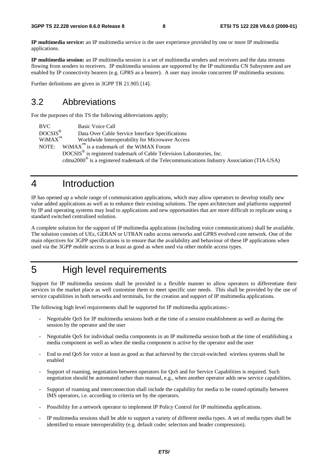**IP multimedia service:** an IP multimedia service is the user experience provided by one or more IP multimedia applications.

**IP multimedia session:** an IP multimedia session is a set of multimedia senders and receivers and the data streams flowing from senders to receivers. IP multimedia sessions are supported by the IP multimedia CN Subsystem and are enabled by IP connectivity bearers (e.g. GPRS as a bearer). A user may invoke concurrent IP multimedia sessions.

Further definitions are given in 3GPP TR 21.905 [14].

### 3.2 Abbreviations

For the purposes of this TS the following abbreviations apply;

BVC Basic Voice Call<br>DOCSIS<sup>®</sup> Data Over Cable Data Over Cable Service Interface Specifications WiMAX**™** Worldwide Interoperability for Microwave Access NOTE: WiMAX<sup> $<sup>m</sup>$ </sup> is a trademark of the WiMAX Forum</sup> DOCSIS® is registered trademark of Cable Television Laboratories, Inc. cdma2000® is a registered trademark of the Telecommunications Industry Association (TIA-USA)

## 4 Introduction

IP has opened up a whole range of communication applications, which may allow operators to develop totally new value added applications as well as to enhance their existing solutions. The open architecture and platforms supported by IP and operating systems may lead to applications and new opportunities that are more difficult to replicate using a standard switched centralised solution.

A complete solution for the support of IP multimedia applications (including voice communications) shall be available. The solution consists of UEs, GERAN or UTRAN radio access networks and GPRS evolved core network. One of the main objectives for 3GPP specifications is to ensure that the availability and behaviour of these IP applications when used via the 3GPP mobile access is at least as good as when used via other mobile access types.

## 5 High level requirements

Support for IP multimedia sessions shall be provided in a flexible manner to allow operators to differentiate their services in the market place as well customise them to meet specific user needs. This shall be provided by the use of service capabilities in both networks and terminals, for the creation and support of IP multimedia applications.

The following high level requirements shall be supported for IP multimedia applications:-

- Negotiable QoS for IP multimedia sessions both at the time of a session establishment as well as during the session by the operator and the user
- Negotiable QoS for individual media components in an IP multimedia session both at the time of establishing a media component as well as when the media component is active by the operator and the user
- End to end QoS for voice at least as good as that achieved by the circuit-switched wireless systems shall be enabled
- Support of roaming, negotiation between operators for QoS and for Service Capabilities is required. Such negotiation should be automated rather than manual, e.g., when another operator adds new service capabilities.
- Support of roaming and interconnection shall include the capability for media to be routed optimally between IMS operators, i.e. according to criteria set by the operators.
- Possibility for a network operator to implement IP Policy Control for IP multimedia applications.
- IP multimedia sessions shall be able to support a variety of different media types. A set of media types shall be identified to ensure interoperability (e.g. default codec selection and header compression).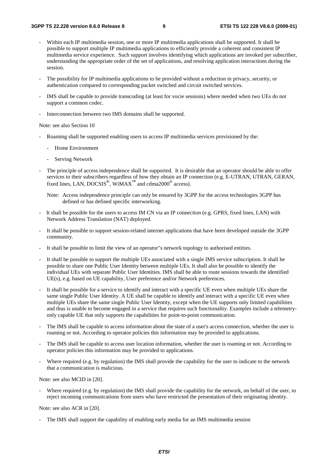- Within each IP multimedia session, one or more IP multimedia applications shall be supported. It shall be possible to support multiple IP multimedia applications to efficiently provide a coherent and consistent IP multimedia service experience. Such support involves identifying which applications are invoked per subscriber, understanding the appropriate order of the set of applications, and resolving application interactions during the session.
- The possibility for IP multimedia applications to be provided without a reduction in privacy, security, or authentication compared to corresponding packet switched and circuit switched services.
- IMS shall be capable to provide transcoding (at least for vocie sessions) where needed when two UEs do not support a common codec.
- Interconnection between two IMS domains shall be supported.

Note: see also Section 10

- Roaming shall be supported enabling users to access IP multimedia services provisioned by the:
	- Home Environment
	- Serving Network
- The principle of access independence shall be supported. It is desirable that an operator should be able to offer services to their subscribers regardless of how they obtain an IP connection (e.g. E-UTRAN, UTRAN, GERAN, fixed lines, LAN, DOCSIS®, WiMAX**™** and cdma2000® access).
	- Note: Access independence principle can only be ensured by 3GPP for the access technologies 3GPP has defined or has defined specific interworking.
- It shall be possible for the users to access IM CN via an IP connection (e.g. GPRS, fixed lines, LAN) with Network Address Translation (NAT) deployed.
- It shall be possible to support session-related internet applications that have been developed outside the 3GPP community.
- It shall be possible to limit the view of an operator"s network topology to authorised entities.
- It shall be possible to support the multiple UEs associated with a single IMS service subscription. It shall be possible to share one Public User Identity between multiple UEs. It shall also be possible to identify the individual UEs with separate Public User Identities. IMS shall be able to route sessions towards the identified UE(s), e.g. based on UE capability, User preference and/or Network preferences.
- It shall be possible for a service to identify and interact with a specific UE even when multiple UEs share the same single Public User Identity. A UE shall be capable to identify and interact with a specific UE even when multiple UEs share the same single Public User Identity, except when the UE supports only limited capabilities and thus is unable to become engaged in a service that requires such functionality. Examples include a telemetryonly capable UE that only supports the capabilities for point-to-point communication.
- The IMS shall be capable to access information about the state of a user's access connection, whether the user is roaming or not. According to operator policies this information may be provided to applications.
- The IMS shall be capable to access user location information, whether the user is roaming or not. According to operator policies this information may be provided to applications.
- Where required (e.g. by regulation) the IMS shall provide the capability for the user to indicate to the network that a communication is malicious.

Note: see also MCID in [20].

Where required (e.g. by regulation) the IMS shall provide the capability for the network, on behalf of the user, to reject incoming communications from users who have restricted the presentation of their originating identity.

Note: see also ACR in [20].

The IMS shall support the capability of enabling early media for an IMS multimedia session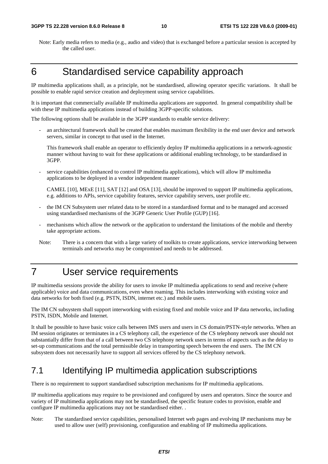Note: Early media refers to media (e.g., audio and video) that is exchanged before a particular session is accepted by the called user.

## 6 Standardised service capability approach

IP multimedia applications shall, as a principle, not be standardised, allowing operator specific variations. It shall be possible to enable rapid service creation and deployment using service capabilities.

It is important that commercially available IP multimedia applications are supported. In general compatibility shall be with these IP multimedia applications instead of building 3GPP-specific solutions.

The following options shall be available in the 3GPP standards to enable service delivery:

an architectural framework shall be created that enables maximum flexibility in the end user device and network servers, similar in concept to that used in the Internet.

This framework shall enable an operator to efficiently deploy IP multimedia applications in a network-agnostic manner without having to wait for these applications or additional enabling technology, to be standardised in 3GPP.

- service capabilities (enhanced to control IP multimedia applications), which will allow IP multimedia applications to be deployed in a vendor independent manner

CAMEL [10], MExE [11], SAT [12] and OSA [13], should be improved to support IP multimedia applications, e.g. additions to APIs, service capability features, service capability servers, user profile etc.

- the IM CN Subsystem user related data to be stored in a standardised format and to be managed and accessed using standardised mechanisms of the 3GPP Generic User Profile (GUP) [16].
- mechanisms which allow the network or the application to understand the limitations of the mobile and thereby take appropriate actions.
- Note: There is a concern that with a large variety of toolkits to create applications, service interworking between terminals and networks may be compromised and needs to be addressed.

## 7 User service requirements

IP multimedia sessions provide the ability for users to invoke IP multimedia applications to send and receive (where applicable) voice and data communications, even when roaming. This includes interworking with existing voice and data networks for both fixed (e.g. PSTN, ISDN, internet etc.) and mobile users.

The IM CN subsystem shall support interworking with existing fixed and mobile voice and IP data networks, including PSTN, ISDN, Mobile and Internet.

It shall be possible to have basic voice calls between IMS users and users in CS domain/PSTN-style networks. When an IM session originates or terminates in a CS telephony call, the experience of the CS telephony network user should not substantially differ from that of a call between two CS telephony network users in terms of aspects such as the delay to set-up communications and the total permissible delay in transporting speech between the end users. The IM CN subsystem does not necessarily have to support all services offered by the CS telephony network.

## 7.1 Identifying IP multimedia application subscriptions

There is no requirement to support standardised subscription mechanisms for IP multimedia applications.

IP multimedia applications may require to be provisioned and configured by users and operators. Since the source and variety of IP multimedia applications may not be standardised, the specific feature codes to provision, enable and configure IP multimedia applications may not be standardised either. .

Note: The standardised service capabilities, personalised Internet web pages and evolving IP mechanisms may be used to allow user (self) provisioning, configuration and enabling of IP multimedia applications.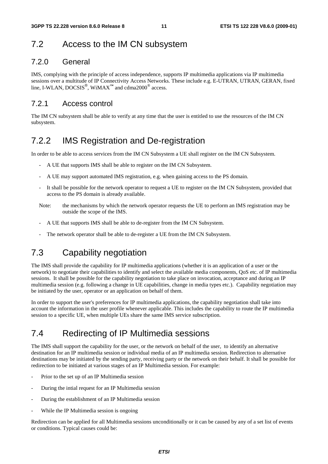## 7.2 Access to the IM CN subsystem

#### 7.2.0 General

IMS, complying with the principle of access independence, supports IP multimedia applications via IP multimedia sessions over a multitude of IP Connectivity Access Networks. These include e.g. E-UTRAN, UTRAN, GERAN, fixed line, I-WLAN, DOCSIS<sup>®</sup>, WiMAX<sup>™</sup> and cdma2000<sup>®</sup> access.

#### 7.2.1 Access control

The IM CN subsystem shall be able to verify at any time that the user is entitled to use the resources of the IM CN subsystem.

## 7.2.2 IMS Registration and De-registration

In order to be able to access services from the IM CN Subsystem a UE shall register on the IM CN Subsystem.

- A UE that supports IMS shall be able to register on the IM CN Subsystem.
- A UE may support automated IMS registration, e.g. when gaining access to the PS domain.
- It shall be possible for the network operator to request a UE to register on the IM CN Subsystem, provided that access to the PS domain is already available.
- Note: the mechanisms by which the network operator requests the UE to perform an IMS registration may be outside the scope of the IMS.
- A UE that supports IMS shall be able to de-register from the IM CN Subsystem.
- The network operator shall be able to de-register a UE from the IM CN Subsystem.

## 7.3 Capability negotiation

The IMS shall provide the capability for IP multimedia applications (whether it is an application of a user or the network) to negotiate their capabilities to identify and select the available media components, QoS etc. of IP multimedia sessions. It shall be possible for the capability negotiation to take place on invocation, acceptance and during an IP multimedia session (e.g. following a change in UE capabilities, change in media types etc.). Capability negotiation may be initiated by the user, operator or an application on behalf of them.

In order to support the user's preferences for IP multimedia applications, the capability negotiation shall take into account the information in the user profile whenever applicable. This includes the capability to route the IP multimedia session to a specific UE, when multiple UEs share the same IMS service subscription.

## 7.4 Redirecting of IP Multimedia sessions

The IMS shall support the capability for the user, or the network on behalf of the user, to identify an alternative destination for an IP multimedia session or individual media of an IP multimedia session. Redirection to alternative destinations may be initiated by the sending party, receiving party or the network on their behalf. It shall be possible for redirection to be initiated at various stages of an IP Multimedia session. For example:

- Prior to the set up of an IP Multimedia session
- During the intial request for an IP Multimedia session
- During the establishment of an IP Multimedia session
- While the IP Multimedia session is ongoing

Redirection can be applied for all Multimedia sessions unconditionally or it can be caused by any of a set list of events or conditions. Typical causes could be: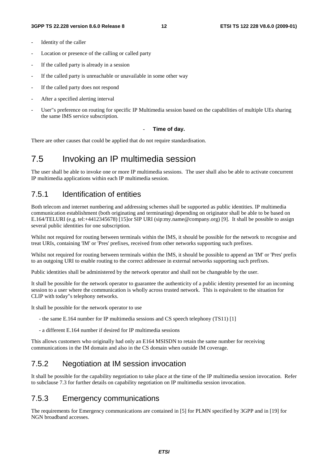- Identity of the caller
- Location or presence of the calling or called party
- If the called party is already in a session
- If the called party is unreachable or unavailable in some other way
- If the called party does not respond
- After a specified alerting interval
- User"s preference on routing for specific IP Multimedia session based on the capabilities of multiple UEs sharing the same IMS service subscription.

#### - **Time of day.**

There are other causes that could be applied that do not require standardisation.

## 7.5 Invoking an IP multimedia session

The user shall be able to invoke one or more IP multimedia sessions. The user shall also be able to activate concurrent IP multimedia applications within each IP multimedia session.

#### 7.5.1 Identification of entities

Both telecom and internet numbering and addressing schemes shall be supported as public identities. IP multimedia communication establishment (both originating and terminating) depending on originator shall be able to be based on E.164/TELURI (e.g. tel:+4412345678) [15]or SIP URI (sip:my.name@company.org) [9]. It shall be possible to assign several public identities for one subscription.

Whilst not required for routing between terminals within the IMS, it should be possible for the network to recognise and treat URIs, containing 'IM' or 'Pres' prefixes, received from other networks supporting such prefixes.

Whilst not required for routing between terminals within the IMS, it should be possible to append an 'IM' or 'Pres' prefix to an outgoing URI to enable routing to the correct addressee in external networks supporting such prefixes.

Public identities shall be administered by the network operator and shall not be changeable by the user.

It shall be possible for the network operator to guarantee the authenticity of a public identity presented for an incoming session to a user where the communication is wholly across trusted network. This is equivalent to the situation for CLIP with today"s telephony networks.

It shall be possible for the network operator to use

- the same E.164 number for IP multimedia sessions and CS speech telephony (TS11) [1]
- a different E.164 number if desired for IP multimedia sessions

This allows customers who originally had only an E164 MSISDN to retain the same number for receiving communications in the IM domain and also in the CS domain when outside IM coverage.

#### 7.5.2 Negotiation at IM session invocation

It shall be possible for the capability negotiation to take place at the time of the IP multimedia session invocation. Refer to subclause 7.3 for further details on capability negotiation on IP multimedia session invocation.

#### 7.5.3 Emergency communications

The requirements for Emergency communications are contained in [5] for PLMN specified by 3GPP and in [19] for NGN broadband accesses.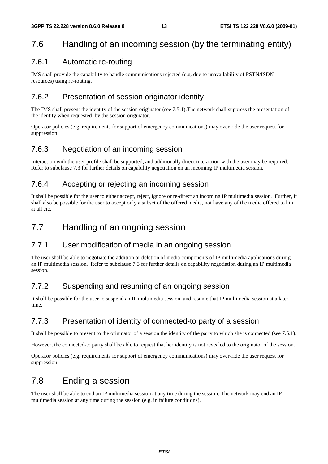## 7.6 Handling of an incoming session (by the terminating entity)

#### 7.6.1 Automatic re-routing

IMS shall provide the capability to handle communications rejected (e.g. due to unavailability of PSTN/ISDN resources) using re-routing.

#### 7.6.2 Presentation of session originator identity

The IMS shall present the identity of the session originator (see 7.5.1).The network shall suppress the presentation of the identity when requested by the session originator.

Operator policies (e.g. requirements for support of emergency communications) may over-ride the user request for suppression.

#### 7.6.3 Negotiation of an incoming session

Interaction with the user profile shall be supported, and additionally direct interaction with the user may be required. Refer to subclause 7.3 for further details on capability negotiation on an incoming IP multimedia session.

#### 7.6.4 Accepting or rejecting an incoming session

It shall be possible for the user to either accept, reject, ignore or re-direct an incoming IP multimedia session. Further, it shall also be possible for the user to accept only a subset of the offered media, not have any of the media offered to him at all etc.

## 7.7 Handling of an ongoing session

#### 7.7.1 User modification of media in an ongoing session

The user shall be able to negotiate the addition or deletion of media components of IP multimedia applications during an IP multimedia session. Refer to subclause 7.3 for further details on capability negotiation during an IP multimedia session.

#### 7.7.2 Suspending and resuming of an ongoing session

It shall be possible for the user to suspend an IP multimedia session, and resume that IP multimedia session at a later time.

#### 7.7.3 Presentation of identity of connected-to party of a session

It shall be possible to present to the originator of a session the identity of the party to which she is connected (see 7.5.1).

However, the connected-to party shall be able to request that her identity is not revealed to the originator of the session.

Operator policies (e.g. requirements for support of emergency communications) may over-ride the user request for suppression.

## 7.8 Ending a session

The user shall be able to end an IP multimedia session at any time during the session. The network may end an IP multimedia session at any time during the session (e.g. in failure conditions).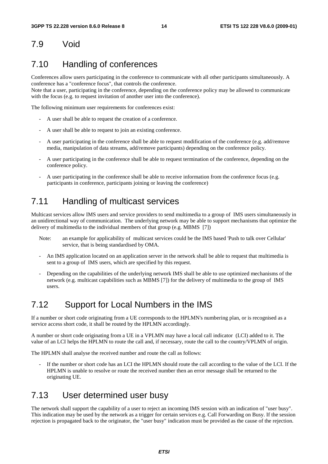## 7.9 Void

## 7.10 Handling of conferences

Conferences allow users participating in the conference to communicate with all other participants simultaneously. A conference has a "conference focus", that controls the conference.

Note that a user, participating in the conference, depending on the conference policy may be allowed to communicate with the focus (e.g. to request invitation of another user into the conference).

The following minimum user requirements for conferences exist:

- A user shall be able to request the creation of a conference.
- A user shall be able to request to join an existing conference.
- A user participating in the conference shall be able to request modification of the conference (e.g. add/remove media, manipulation of data streams, add/remove participants) depending on the conference policy.
- A user participating in the conference shall be able to request termination of the conference, depending on the conference policy.
- A user participating in the conference shall be able to receive information from the conference focus (e.g. participants in conference, participants joining or leaving the conference)

## 7.11 Handling of multicast services

Multicast services allow IMS users and service providers to send multimedia to a group of IMS users simultaneously in an unidirectional way of communication. The underlying network may be able to support mechanisms that optimize the delivery of multimedia to the individual members of that group (e.g. MBMS [7])

- Note: an example for applicability of multicast services could be the IMS based 'Push to talk over Cellular' service, that is being standardised by OMA.
- An IMS application located on an application server in the network shall be able to request that multimedia is sent to a group of IMS users, which are specified by this request.
- Depending on the capabilities of the underlying network IMS shall be able to use optimized mechanisms of the network (e.g. multicast capabilities such as MBMS [7]) for the delivery of multimedia to the group of IMS users.

### 7.12 Support for Local Numbers in the IMS

If a number or short code originating from a UE corresponds to the HPLMN's numbering plan, or is recognised as a service access short code, it shall be routed by the HPLMN accordingly.

A number or short code originating from a UE in a VPLMN may have a local call indicator (LCI) added to it. The value of an LCI helps the HPLMN to route the call and, if necessary, route the call to the country/VPLMN of origin.

The HPLMN shall analyse the received number and route the call as follows:

If the number or short code has an LCI the HPLMN should route the call according to the value of the LCI. If the HPLMN is unable to resolve or route the received number then an error message shall be returned to the originating UE.

#### 7.13 User determined user busy

The network shall support the capability of a user to reject an incoming IMS session with an indication of "user busy". This indication may be used by the network as a trigger for certain services e.g. Call Forwarding on Busy. If the session rejection is propagated back to the originator, the "user busy" indication must be provided as the cause of the rejection.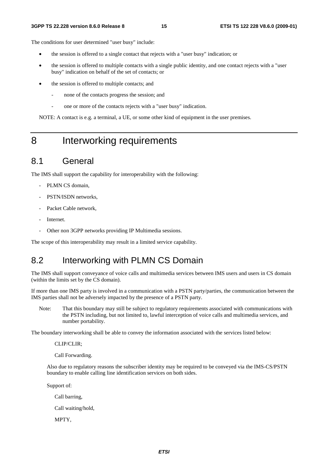The conditions for user determined "user busy" include:

- the session is offered to a single contact that rejects with a "user busy" indication; or
- the session is offered to multiple contacts with a single public identity, and one contact rejects with a "user busy" indication on behalf of the set of contacts; or
- the session is offered to multiple contacts; and
	- none of the contacts progress the session; and
	- one or more of the contacts rejects with a "user busy" indication.

NOTE: A contact is e.g. a terminal, a UE, or some other kind of equipment in the user premises.

## 8 Interworking requirements

#### 8.1 General

The IMS shall support the capability for interoperability with the following:

- PLMN CS domain.
- PSTN/ISDN networks.
- Packet Cable network,
- Internet.
- Other non 3GPP networks providing IP Multimedia sessions.

The scope of this interoperability may result in a limited service capability.

## 8.2 Interworking with PLMN CS Domain

The IMS shall support conveyance of voice calls and multimedia services between IMS users and users in CS domain (within the limits set by the CS domain).

If more than one IMS party is involved in a communication with a PSTN party/parties, the communication between the IMS parties shall not be adversely impacted by the presence of a PSTN party.

Note: That this boundary may still be subject to regulatory requirements associated with communications with the PSTN including, but not limited to, lawful interception of voice calls and multimedia services, and number portability.

The boundary interworking shall be able to convey the information associated with the services listed below:

CLIP/CLIR;

Call Forwarding.

Also due to regulatory reasons the subscriber identity may be required to be conveyed via the IMS-CS/PSTN boundary to enable calling line identification services on both sides.

Support of:

Call barring,

Call waiting/hold,

MPTY,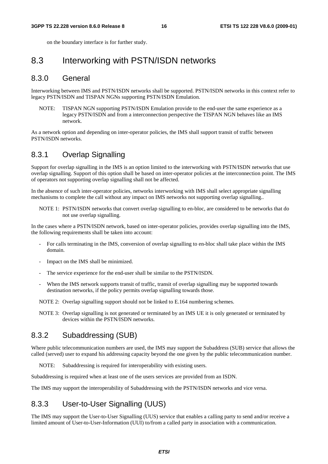on the boundary interface is for further study.

#### 8.3 Interworking with PSTN/ISDN networks

#### 8.3.0 General

Interworking between IMS and PSTN/ISDN networks shall be supported. PSTN/ISDN networks in this context refer to legacy PSTN/ISDN and TISPAN NGNs supporting PSTN/ISDN Emulation.

NOTE: TISPAN NGN supporting PSTN/ISDN Emulation provide to the end-user the same experience as a legacy PSTN/ISDN and from a interconnection perspective the TISPAN NGN behaves like an IMS network.

As a network option and depending on inter-operator policies, the IMS shall support transit of traffic between PSTN/ISDN networks.

#### 8.3.1 Overlap Signalling

Support for overlap signalling in the IMS is an option limited to the interworking with PSTN/ISDN networks that use overlap signalling. Support of this option shall be based on inter-operator policies at the interconnection point. The IMS of operators not supporting overlap signalling shall not be affected.

In the absence of such inter-operator policies, networks interworking with IMS shall select appropriate signalling mechanisms to complete the call without any impact on IMS networks not supporting overlap signalling..

NOTE 1: PSTN/ISDN networks that convert overlap signalling to en-bloc, are considered to be networks that do not use overlap signalling.

In the cases where a PSTN/ISDN network, based on inter-operator policies, provides overlap signalling into the IMS, the following requirements shall be taken into account:

- For calls terminating in the IMS, conversion of overlap signalling to en-bloc shall take place within the IMS domain.
- Impact on the IMS shall be minimized.
- The service experience for the end-user shall be similar to the PSTN/ISDN.
- When the IMS network supports transit of traffic, transit of overlap signalling may be supported towards destination networks, if the policy permits overlap signalling towards those.

NOTE 2: Overlap signalling support should not be linked to E.164 numbering schemes.

NOTE 3: Overlap signalling is not generated or terminated by an IMS UE it is only generated or terminated by devices within the PSTN/ISDN networks.

#### 8.3.2 Subaddressing (SUB)

Where public telecommunication numbers are used, the IMS may support the Subaddress (SUB) service that allows the called (served) user to expand his addressing capacity beyond the one given by the public telecommunication number.

NOTE: Subaddressing is required for interoperability with existing users.

Subaddressing is required when at least one of the users services are provided from an ISDN.

The IMS may support the interoperability of Subaddressing with the PSTN/ISDN networks and vice versa.

#### 8.3.3 User-to-User Signalling (UUS)

The IMS may support the User-to-User Signalling (UUS) service that enables a calling party to send and/or receive a limited amount of User-to-User-Information (UUI) to/from a called party in association with a communication.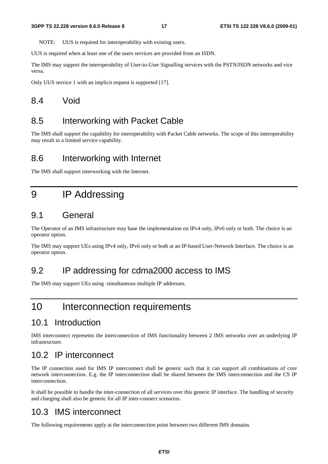NOTE: UUS is required for interoperability with existing users.

UUS is required when at least one of the users services are provided from an ISDN.

The IMS may support the interoperability of User-to-User Signalling services with the PSTN/ISDN networks and vice versa.

Only UUS service 1 with an implicit request is supported [17].

#### 8.4 Void

## 8.5 Interworking with Packet Cable

The IMS shall support the capability for interoperability with Packet Cable networks. The scope of this interoperability may result in a limited service capability.

#### 8.6 Interworking with Internet

The IMS shall support interworking with the Internet.

## 9 IP Addressing

#### 9.1 General

The Operator of an IMS infrastructure may base the implementation on IPv4 only, IPv6 only or both. The choice is an operator option.

The IMS may support UEs using IPv4 only, IPv6 only or both at an IP-based User-Network Interface. The choice is an operator option.

### 9.2 IP addressing for cdma2000 access to IMS

The IMS may support UEs using simultaneous multiple IP addresses.

## 10 Interconnection requirements

#### 10.1 Introduction

IMS interconnect represents the interconnection of IMS functionality between 2 IMS networks over an underlying IP infrastructure.

### 10.2 IP interconnect

The IP connection used for IMS IP interconnect shall be generic such that it can support all combinations of core network interconnection. E.g. the IP interconnection shall be shared between the IMS interconnection and the CS IP interconnection.

It shall be possible to handle the inter-connection of all services over this generic IP interface. The handling of security and charging shall also be generic for all IP inter-connect scenarios.

### 10.3 IMS interconnect

The following requirements apply at the interconnection point between two different IMS domains.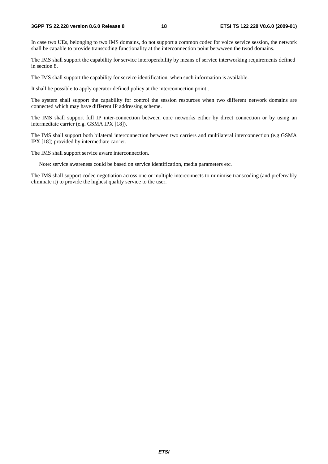#### **3GPP TS 22.228 version 8.6.0 Release 8 18 ETSI TS 122 228 V8.6.0 (2009-01)**

In case two UEs, belonging to two IMS domains, do not support a common codec for voice service session, the network shall be capable to provide transcoding functionality at the interconnection point betwween the twod domains.

The IMS shall support the capability for service interoperability by means of service interworking requirements defined in section 8.

The IMS shall support the capability for service identification, when such information is available.

It shall be possible to apply operator defined policy at the interconnection point..

The system shall support the capability for control the session resources when two different network domains are connected which may have different IP addressing scheme.

The IMS shall support full IP inter-connection between core networks either by direct connection or by using an intermediate carrier (e.g. GSMA IPX [18]).

The IMS shall support both bilateral interconnection between two carriers and multilateral interconnection (e.g GSMA IPX [18]) provided by intermediate carrier.

The IMS shall support service aware interconnection.

Note: service awareness could be based on service identification, media parameters etc.

The IMS shall support codec negotiation across one or multiple interconnects to minimise transcoding (and prefereably eliminate it) to provide the highest quality service to the user.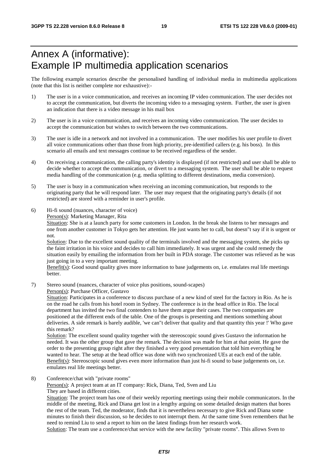## Annex A (informative): Example IP multimedia application scenarios

The following example scenarios describe the personalised handling of individual media in multimedia applications (note that this list is neither complete nor exhaustive):-

- 1) The user is in a voice communication, and receives an incoming IP video communication. The user decides not to accept the communication, but diverts the incoming video to a messaging system. Further, the user is given an indication that there is a video message in his mail box
- 2) The user is in a voice communication, and receives an incoming video communication. The user decides to accept the communication but wishes to switch between the two communications.
- 3) The user is idle in a network and not involved in a communication. The user modifies his user profile to divert all voice communications other than those from high priority, pre-identified callers (e.g. his boss). In this scenario all emails and text messages continue to be received regardless of the sender.
- 4) On receiving a communication, the calling party's identity is displayed (if not restricted) and user shall be able to decide whether to accept the communication, or divert to a messaging system. The user shall be able to request media handling of the communication (e.g. media splitting to different destinations, media conversion).
- 5) The user is busy in a communication when receiving an incoming communication, but responds to the originating party that he will respond later. The user may request that the originating party's details (if not restricted) are stored with a reminder in user's profile.
- 6) Hi-fi sound (nuances, character of voice)

Person(s): Marketing Manager, Rita

Situation: She is at a launch party for some customers in London. In the break she listens to her messages and one from another customer in Tokyo gets her attention. He just wants her to call, but doesn"t say if it is urgent or not.

Solution: Due to the excellent sound quality of the terminals involved and the messaging system, she picks up the faint irritation in his voice and decides to call him immediately. It was urgent and she could remedy the situation easily by emailing the information from her built in PDA storage. The customer was relieved as he was just going in to a very important meeting.

Benefit(s): Good sound quality gives more information to base judgements on, i.e. emulates real life meetings better.

7) Stereo sound (nuances, character of voice plus positions, sound-scapes)

Person(s): Purchase Officer, Gustavo

Situation: Participates in a conference to discuss purchase of a new kind of steel for the factory in Rio. As he is on the road he calls from his hotel room in Sydney. The conference is in the head office in Rio. The local department has invited the two final contenders to have them argue their cases. The two companies are positioned at the different ends of the table. One of the groups is presenting and mentions something about deliveries. A side remark is barely audible, 'we can"t deliver that quality and that quantity this year !' Who gave this remark?

Solution: The excellent sound quality together with the stereoscopic sound gives Gustavo the information he needed. It was the other group that gave the remark. The decision was made for him at that point. He gave the order to the presenting group right after they finished a very good presentation that told him everything he wanted to hear. The setup at the head office was done with two synchronized UEs at each end of the table. Benefit(s): Stereoscopic sound gives even more information than just hi-fi sound to base judgements on, i.e. emulates real life meetings better.

8) Conference/chat with "private rooms"

Person(s): A project team at an IT company: Rick, Diana, Ted, Sven and Liu They are based in different cities.

Situation: The project team has one of their weekly reporting meetings using their mobile communicators. In the middle of the meeting, Rick and Diana get lost in a lengthy arguing on some detailed design matters that bores the rest of the team. Ted, the moderator, finds that it is nevertheless necessary to give Rick and Diana some minutes to finish their discussion, so he decides to not interrupt them. At the same time Sven remembers that he need to remind Liu to send a report to him on the latest findings from her research work. Solution: The team use a conference/chat service with the new facility "private rooms". This allows Sven to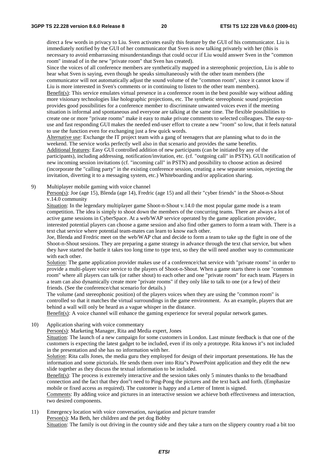direct a few words in privacy to Liu. Sven activates easily this feature by the GUI of his communicator. Liu is immediately notified by the GUI of her communicator that Sven is now talking privately with her (this is necessary to avoid embarrassing misunderstandings that could occur if Liu would answer Sven in the "common room" instead of in the new "private room" that Sven has created).

Since the voices of all conference members are synthetically mapped in a stereophonic projection, Liu is able to hear what Sven is saying, even though he speaks simultaneously with the other team members (the

communicator will not automatically adjust the sound volume of the "common room", since it cannot know if Liu is more interested in Sven's comments or in continuing to listen to the other team members).

Benefit(s): This service emulates virtual presence in a conference room in the best possible way without adding more visionary technologies like holographic projections, etc. The synthetic stereophonic sound projection provides good possibilities for a conference member to discriminate unwanted voices even if the meeting situation is informal and spontaneous and everyone are talking at the same time. The flexible possibilities to create one or more "private rooms" make it easy to make private comments to selected colleagues. The easy-touse and fast responding GUI makes the needed end-user effort to create a new "room" so low, that it feels natural to use the function even for exchanging just a few quick words.

Alternative use: Exchange the IT project team with a gang of teenagers that are planning what to do in the weekend. The service works perfectly well also in that scenario and provides the same benefits. Additional features: Easy GUI controlled addition of new participants (can be initiated by any of the participants), including addressing, notification/invitation, etc. (cf. "outgoing call" in PSTN). GUI notification of new incoming session invitations (cf. "incoming call" in PSTN) and possibility to choose action as desired (incorporate the "calling party" in the existing conference session, creating a new separate session, rejecting the invitation, diverting it to a messaging system, etc.) Whiteboarding and/or application sharing.

9) Multiplayer mobile gaming with voice channel

Person(s): Joe (age 15), Blenda (age 14), Fredric (age 15) and all their "cyber friends" in the Shoot-n-Shout v.14.0 community

Situation: In the legendary multiplayer game Shoot-n-Shout v.14.0 the most popular game mode is a team competition. The idea is simply to shoot down the members of the concurring teams. There are always a lot of active game sessions in CyberSpace. At a web/WAP service operated by the game application provider, interested potential players can choose a game session and also find other gamers to form a team with. There is a text chat service where potential team-mates can learn to know each other.

Joe, Blenda and Fredric meet on the web/WAP chat and decide to form a team to take up the fight in one of the Shoot-n-Shout sessions. They are preparing a game strategy in advance through the text chat service, but when they have started the battle it takes too long time to type text, so they the will need another way to communicate with each other.

Solution: The game application provider makes use of a conference/chat service with "private rooms" in order to provide a multi-player voice service to the players of Shoot-n-Shout. When a game starts there is one "common room" where all players can talk (or rather shout) to each other and one "private room" for each team. Players in a team can also dynamically create more "private rooms" if they only like to talk to one (or a few) of their friends. (See the conference/chat scenario for details.)

The volume (and stereophonic position) of the players voices when they are using the "common room" is controlled so that it matches the virtual surroundings in the game environment. As an example, players that are behind a wall will only be heard as a vague whisper in the distance.

Benefit(s): A voice channel will enhance the gaming experience for several popular network games.

10) Application sharing with voice commentary

Person(s): Marketing Manager, Rita and Media expert, Jones

Situation: The launch of a new campaign for some customers in London. Last minute feedback is that one of the customers is expecting the latest gadget to be included, even if its only a prototype. Rita knows it"s not included in the presentation and she has no information with her.

Solution: Rita calls Jones, the media guru they employed for design of their important presentations. He has the information and some pictorials. He sends them over into Rita"s PowerPoint application and they edit the new slide together as they discuss the textual information to be included.

Benefit(s): The process is extremely interactive and the session takes only 5 minutes thanks to the broadband connection and the fact that they don"t need to Ping-Pong the pictures and the text back and forth. (Emphasize mobile or fixed access as required). The customer is happy and a Letter of Intent is signed.

Comments: By adding voice and pictures in an interactive session we achieve both effectiveness and interaction, two desired components.

11) Emergency location with voice conversation, navigation and picture transfer Person(s): Ma Beth, her children and the pet dog Bobby Situation: The family is out driving in the country side and they take a turn on the slippery country road a bit too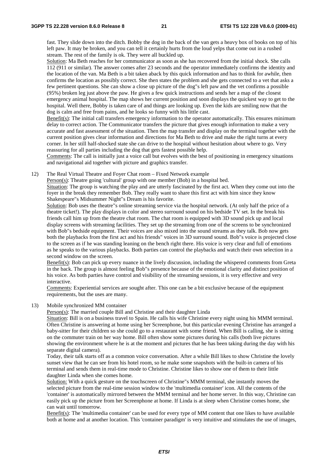fast. They slide down into the ditch. Bobby the dog in the back of the van gets a heavy box of books on top of his left paw. It may be broken, and you can tell it certainly hurts from the loud yelps that come out in a rushed stream. The rest of the family is ok. They were all buckled up.

Solution: Ma Beth reaches for her communicator as soon as she has recovered from the initial shock. She calls 112 (911 or similar). The answer comes after 23 seconds and the operator immediately confirms the identity and the location of the van. Ma Beth is a bit taken aback by this quick information and has to think for awhile, then confirms the location as possibly correct. She then states the problem and she gets connected to a vet that asks a few pertinent questions. She can show a close up picture of the dog"s left paw and the vet confirms a possible (95%) broken leg just above the paw. He gives a few quick instructions and sends her a map of the closest emergency animal hospital. The map shows her current position and soon displays the quickest way to get to the hospital. Well there, Bobby is taken care of and things are looking up. Even the kids are smiling now that the dog is calm and free from pains, and he looks so funny with his little cast.

Benefit(s): The initial call transfers emergency information to the operator automatically. This ensures minimum delay to correct action. The Communicator transfers the picture that gives enough information to make a very accurate and fast assessment of the situation. Then the map transfer and display on the terminal together with the current position gives clear information and directions for Ma Beth to drive and make the right turns at every corner. In her still half-shocked state she can drive to the hospital without hesitation about where to go. Very reassuring for all parties including the dog that gets fastest possible help.

Comments: The call is initially just a voice call but evolves with the best of positioning in emergency situations and navigational aid together with picture and graphics transfer.

12) The Real Virtual Theatre and Foyer Chat room – Fixed Network example

Person(s): Theatre going 'cultural' group with one member (Bob) in a hospital bed.

Situation: The group is watching the play and are utterly fascinated by the first act. When they come out into the foyer in the break they remember Bob. They really want to share this first act with him since they know Shakespeare"s Midsummer Night"s Dream is his favorite.

Solution: Bob uses the theatre"s online streaming service via the hospital network. (At only half the price of a theatre ticket!). The play displays in color and stereo surround sound on his bedside TV set. In the break his friends call him up from the theatre chat room. The chat room is equipped with 3D sound pick up and local display screens with streaming facilities. They set up the streaming from one of the screens to be synchronized with Bob"s bedside equipment. Their voices are also mixed into the sound streams as they talk. Bob now gets both the playbacks from the first act and his friends" voices in 3D surround sound. Bob"s voice is projected close to the screen as if he was standing leaning on the bench right there. His voice is very clear and full of emotions as he speaks to the various playbacks. Both parties can control the playbacks and watch their own selection in a second window on the screen.

Benefit(s): Bob can pick up every nuance in the lively discussion, including the whispered comments from Greta in the back. The group is almost feeling Bob"s presence because of the emotional clarity and distinct position of his voice. As both parties have control and visibility of the streaming sessions, it is very effective and very interactive.

Comments: Experiential services are sought after. This one can be a bit exclusive because of the equipment requirements, but the uses are many.

13) Mobile synchronized MM container

Person(s): The married couple Bill and Christine and their daughter Linda

Situation: Bill is on a business travel to Spain. He calls his wife Christine every night using his MMM terminal. Often Christine is answering at home using her Screenphone, but this particular evening Christine has arranged a baby-sitter for their children so she could go to a restaurant with some friend. When Bill is calling, she is sitting on the commuter train on her way home. Bill often show some pictures during his calls (both live pictures showing the environment where he is at the moment and pictures that he has been taking during the day with his separate digital camera).

Today, their talk starts off as a common voice conversation. After a while Bill likes to show Christine the lovely sunset view that he can see from his hotel room, so he make some snapshots with the built-in camera of his terminal and sends them in real-time mode to Christine. Christine likes to show one of them to their little daughter Linda when she comes home.

Solution: With a quick gesture on the touchscreen of Christine"s MMM terminal, she instantly moves the selected picture from the real-time session window to the 'multimedia container' icon. All the contents of the 'container' is automatically mirrored between the MMM terminal and her home server. In this way, Christine can easily pick up the picture from her Screenphone at home. If Linda is at sleep when Christine comes home, she can wait until tomorrow.

Benefit(s): The 'multimedia container' can be used for every type of MM content that one likes to have available both at home and at another location. This 'container paradigm' is very intuitive and stimulates the use of images,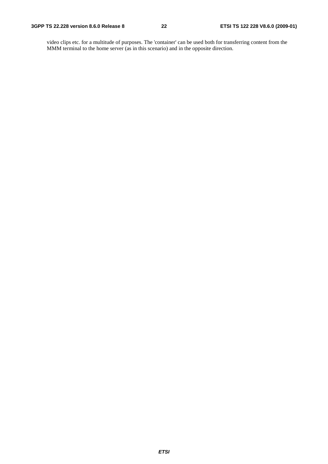video clips etc. for a multitude of purposes. The 'container' can be used both for transferring content from the MMM terminal to the home server (as in this scenario) and in the opposite direction.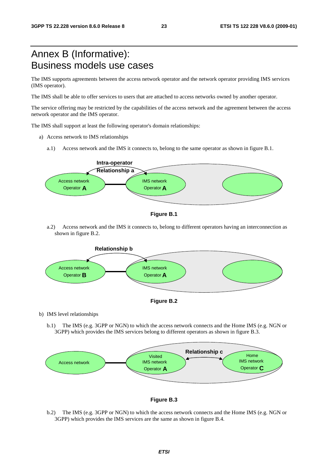## Annex B (Informative): Business models use cases

The IMS supports agreements between the access network operator and the network operator providing IMS services (IMS operator).

The IMS shall be able to offer services to users that are attached to access networks owned by another operator.

The service offering may be restricted by the capabilities of the access network and the agreement between the access network operator and the IMS operator.

The IMS shall support at least the following operator's domain relationships:

- a) Access network to IMS relationships
	- a.1) Access network and the IMS it connects to, belong to the same operator as shown in figure B.1.





a.2) Access network and the IMS it connects to, belong to different operators having an interconnection as shown in figure B.2.





b) IMS level relationships

b.1) The IMS (e.g. 3GPP or NGN) to which the access network connects and the Home IMS (e.g. NGN or 3GPP) which provides the IMS services belong to different operators as shown in figure B.3.





b.2) The IMS (e.g. 3GPP or NGN) to which the access network connects and the Home IMS (e.g. NGN or 3GPP) which provides the IMS services are the same as shown in figure B.4.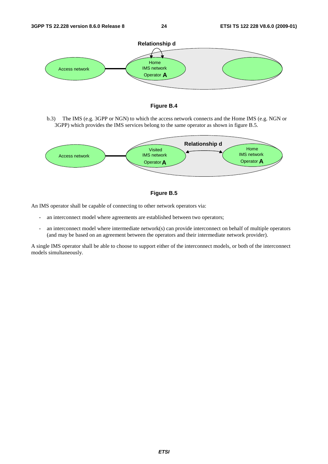



b.3) The IMS (e.g. 3GPP or NGN) to which the access network connects and the Home IMS (e.g. NGN or 3GPP) which provides the IMS services belong to the same operator as shown in figure B.5.





An IMS operator shall be capable of connecting to other network operators via:

- an interconnect model where agreements are established between two operators;
- an interconnect model where intermediate network(s) can provide interconnect on behalf of multiple operators (and may be based on an agreement between the operators and their intermediate network provider).

A single IMS operator shall be able to choose to support either of the interconnect models, or both of the interconnect models simultaneously.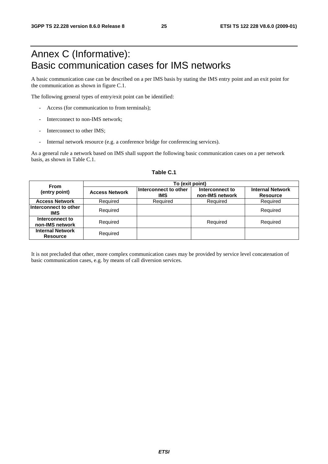## Annex C (Informative): Basic communication cases for IMS networks

A basic communication case can be described on a per IMS basis by stating the IMS entry point and an exit point for the communication as shown in figure C.1.

The following general types of entry/exit point can be identified:

- Access (for communication to from terminals);
- Interconnect to non-IMS network;
- Interconnect to other IMS:
- Internal network resource (e.g. a conference bridge for conferencing services).

As a general rule a network based on IMS shall support the following basic communication cases on a per network basis, as shown in Table C.1.

| <b>From</b>                                | To (exit point)       |                                     |                                    |                                            |  |  |  |  |  |  |
|--------------------------------------------|-----------------------|-------------------------------------|------------------------------------|--------------------------------------------|--|--|--|--|--|--|
| (entry point)                              | <b>Access Network</b> | Interconnect to other<br><b>IMS</b> | Interconnect to<br>non-IMS network | <b>Internal Network</b><br><b>Resource</b> |  |  |  |  |  |  |
| <b>Access Network</b>                      | Required              | Required                            | Required                           | Required                                   |  |  |  |  |  |  |
| Interconnect to other<br>IMS               | Required              |                                     |                                    | Required                                   |  |  |  |  |  |  |
| Interconnect to<br>non-IMS network         | Required              |                                     | Required                           | Required                                   |  |  |  |  |  |  |
| <b>Internal Network</b><br><b>Resource</b> | Required              |                                     |                                    |                                            |  |  |  |  |  |  |

#### **Table C.1**

It is not precluded that other, more complex communication cases may be provided by service level concatenation of basic communication cases, e.g. by means of call diversion services.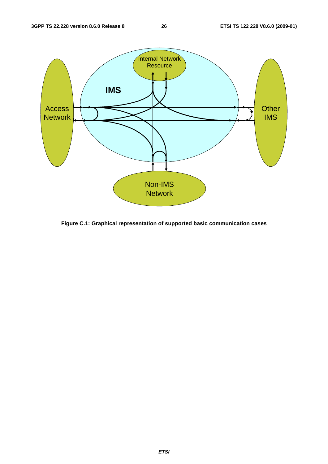

**Figure C.1: Graphical representation of supported basic communication cases**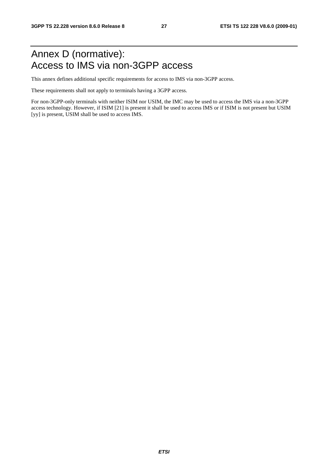## Annex D (normative): Access to IMS via non-3GPP access

This annex defines additional specific requirements for access to IMS via non-3GPP access.

These requirements shall not apply to terminals having a 3GPP access.

For non-3GPP-only terminals with neither ISIM nor USIM, the IMC may be used to access the IMS via a non-3GPP access technology. However, if ISIM [21] is present it shall be used to access IMS or if ISIM is not present but USIM [yy] is present, USIM shall be used to access IMS.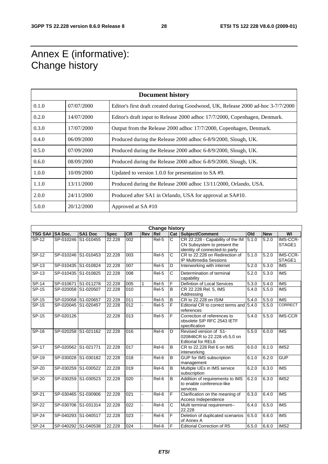## Annex E (informative): Change history

| <b>Document history</b> |            |                                                                                  |  |  |  |  |  |
|-------------------------|------------|----------------------------------------------------------------------------------|--|--|--|--|--|
| 0.1.0                   | 07/07/2000 | Editor's first draft created during Goodwood, UK, Release 2000 ad-hoc 3-7/7/2000 |  |  |  |  |  |
| 0.2.0                   | 14/07/2000 | Editor's draft input to Release 2000 adhoc 17/7/2000, Copenhagen, Denmark.       |  |  |  |  |  |
| 0.3.0                   | 17/07/2000 | Output from the Release 2000 adhoc 17/7/2000, Copenhagen, Denmark.               |  |  |  |  |  |
| 0.4.0                   | 06/09/2000 | Produced during the Release 2000 adhoc 6-8/9/2000, Slough, UK.                   |  |  |  |  |  |
| 0.5.0                   | 07/09/2000 | Produced during the Release 2000 adhoc 6-8/9/2000, Slough, UK.                   |  |  |  |  |  |
| 0.6.0                   | 08/09/2000 | Produced during the Release 2000 adhoc 6-8/9/2000, Slough, UK.                   |  |  |  |  |  |
| 1.0.0                   | 10/09/2000 | Updated to version 1.0.0 for presentation to SA #9.                              |  |  |  |  |  |
| 1.1.0                   | 13/11/2000 | Produced during the Release 2000 adhoc 13/11/2000, Orlando, USA.                 |  |  |  |  |  |
| 2.0.0                   | 24/11/2000 | Produced after SA1 in Orlando, USA for approval at SA#10.                        |  |  |  |  |  |
| 5.0.0                   | 20/12/2000 | Approved at SA#10                                                                |  |  |  |  |  |

|                |                     |                |             |                  |     | <b>Change history</b> |                |                                                                                                   |                    |            |                         |
|----------------|---------------------|----------------|-------------|------------------|-----|-----------------------|----------------|---------------------------------------------------------------------------------------------------|--------------------|------------|-------------------------|
| <b>TSG SA#</b> | <b>SA Doc.</b>      | <b>SA1 Doc</b> | <b>Spec</b> | <b>CR</b>        | Rev | Rel                   |                | <b>Cat Subject/Comment</b>                                                                        | Old                | <b>New</b> | WI                      |
| SP-12          | SP-010246 S1-010455 |                | 22.228      | 002              |     | Rel-5                 | C              | CR 22.228 - Capability of the IM<br>CN Subsystem to present the<br>identity of connected-to party | 5.1.0              | 5.2.0      | IMS-CCR-<br>STAGE1      |
| SP-12          | SP-010246 S1-010453 |                | 22.228      | 003              |     | Rel-5                 | C              | CR to 22.228 on Redirection of<br>IP Multimedia Sessions                                          | 5.1.0              | 5.2.0      | IMS-CCR-<br>STAGE1      |
| $SP-13$        | SP-010435 S1-010824 |                | 22.228      | $\overline{007}$ |     | Rel-5                 | D              | Interworking with internet                                                                        | 5.2.0              | 5.3.0      | <b>IMS</b>              |
| $SP-13$        | SP-010435 S1-010825 |                | 22.228      | 008              |     | Rel-5                 | C              | Determination of terminal<br>capability                                                           | $\overline{5.2.0}$ | 5.3.0      | <b>IMS</b>              |
| $SP-14$        | SP-010671 S1-011278 |                | 22.228      | 005              |     | Rel-5                 | F              | Defintion of Local Services                                                                       | 5.3.0              | 5.4.0      | <b>IMS</b>              |
| SP-15          | SP-020058 S1-020507 |                | 22.228      | 010              |     | Rel-5                 | B              | CR 22.228 Rel. 5, IMS<br>Addressing                                                               | 5.4.0              | 5.5.0      | <b>IMS</b>              |
| SP-15          | SP-020058 S1-020657 |                | 22.228      | 011              |     | Rel-5                 | B              | CR to 22.228 on ISIM                                                                              | $\overline{5.4.0}$ | 5.5.0      | <b>IMS</b>              |
| SP-15          | SP-020045 S1-020457 |                | 22.228      | 012              |     | Rel-5                 | F              | Editorial CR to correct terms and<br>references                                                   | 5.4.0              | 5.5.0      | <b>CORRECT</b>          |
| $SP-15$        | SP-020126           |                | 22.228      | 013              |     | Rel-5                 | F              | Correction of references to<br>obsolete SIP RFC 2543 IETF<br>specification                        | 5.4.0              | 5.5.0      | <b>IMS-CCR</b>          |
| $SP-16$        | SP-020258 S1-021162 |                | 22.228      | 016              |     | $\overline{Rel6}$     | $\overline{D}$ | Revised version of S1-<br>020846CR to 22,228 v5.5.0 on<br><b>Editorial for REL6</b>               | $\overline{5.5.0}$ | 6.0.0      | <b>IMS</b>              |
| <b>SP-17</b>   | SP-020562 S1-021771 |                | 22.228      | 017              |     | Rel-6                 | B              | CR to 22.228 Rel 6 on IMS<br>interworking                                                         | 6.0.0              | 6.1.0      | IMS <sub>2</sub>        |
| SP-19          | SP-030028 S1-030182 |                | 22.228      | 018              |     | Rel-6                 | $\overline{B}$ | GUP for IMS subscription<br>management                                                            | 6.1.0              | 6.2.0      | <b>GUP</b>              |
| SP-20          | SP-030259 S1-030522 |                | 22.228      | 019              |     | $\overline{Rel6}$     | B              | Multiple UEs in IMS service<br>subscription                                                       | 6.2.0              | 6.3.0      | <b>IMS</b>              |
| SP-20          | SP-030259 S1-030523 |                | 22.228      | 020              |     | Rel-6                 | B              | Addition of requirements to IMS<br>to enable conference-like<br>services                          | 6.2.0              | 6.3.0      | IMS <sub>2</sub>        |
| SP-21          | SP-030465 S1-030906 |                | 22.228      | 021              |     | Rel-6                 | F              | Clarification on the meaning of<br>Access Independence                                            | 6.3.0              | 6.4.0      | <b>IMS</b>              |
| $S P - 22$     | SP-030706 S1-031314 |                | 22.228      | 022              |     | Rel-6                 | $\overline{C}$ | Multi terminal requirement--<br>22.228                                                            | 6.4.0              | 6.5.0      | $\overline{\text{IMS}}$ |
| <b>SP-24</b>   | SP-040293 S1-040517 |                | 22.228      | 023              |     | Rel-6                 | F              | Deletion of duplicated scenarios<br>of Annex A                                                    | 6.5.0              | 6.6.0      | <b>IMS</b>              |
| $SP-24$        | SP-040292 S1-040538 |                | 22.228      | 024              |     | $\overline{Rel6}$     | F              | <b>Editorial Correction of R5</b>                                                                 | 6.5.0              | 6.6.0      | IMS <sub>2</sub>        |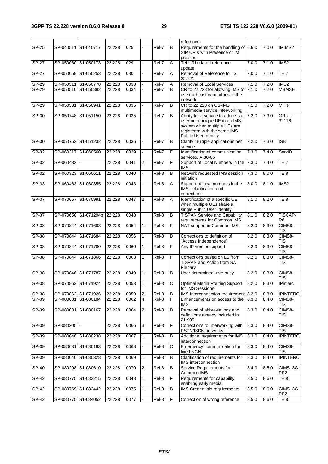|              |                     |                      |        |      |                  |         |                | reference                                                                                                                                                   |       |       |                              |
|--------------|---------------------|----------------------|--------|------|------------------|---------|----------------|-------------------------------------------------------------------------------------------------------------------------------------------------------------|-------|-------|------------------------------|
| <b>SP-25</b> |                     | SP-040511 S1-040717  | 22.228 | 025  |                  | Rel-7   | B              | Requirements for the handling of 6.6.0<br>SIP URIs with Presence or IM<br>prefixes                                                                          |       | 7.0.0 | IMIMS2                       |
| <b>SP-27</b> |                     | SP-050060 S1-050173  | 22.228 | 029  |                  | Rel-7   | Α              | Tel-URI related reference<br>update                                                                                                                         | 7.0.0 | 7.1.0 | IMS <sub>2</sub>             |
| $SP-27$      | SP-050059           | S1-050253            | 22.228 | 030  |                  | Rel-7   | A              | Removal of Reference to TS<br>22.121                                                                                                                        | 7.0.0 | 7.1.0 | TEI7                         |
| SP-29        |                     | SP-050511 S1-050778  | 22.228 | 0033 |                  | Rel-7   | Α              | Removal of Local Services                                                                                                                                   | 7.1.0 | 7.2.0 | IMS2                         |
| SP-29        |                     | SP-050510 S1-050882  | 22.228 | 0034 |                  | Rel-7   | B              | CR to 22.228 for allowing IMS to<br>use multicast capabilities of the<br>network                                                                            | 7.1.0 | 7.2.0 | <b>MBMSE</b>                 |
| $SP-29$      | SP-050531           | S1-050941            | 22.228 | 0035 |                  | Rel-7   | B              | CR to 22.228 on CS-IMS<br>multimedia service interworking                                                                                                   | 7.1.0 | 7.2.0 | <b>MITe</b>                  |
| SP-30        |                     | SP-050748 S1-051150  | 22.228 | 0035 |                  | Rel-7   | B              | Ability for a service to address a<br>user on a unique UE in an IMS<br>system when multiple UEs are<br>registered with the same IMS<br>Public User Identity | 7.2.0 | 7.3.0 | GRUU -<br>32116              |
| SP-30        |                     | SP-050752 S1-051232  | 22.228 | 0036 |                  | Rel-7   | B              | Clarify multiple applications per<br>service                                                                                                                | 7.2.0 | 7.30  | <b>ISB</b>                   |
| $SP-32$      |                     | SP-060317 S1-060560  | 22.228 | 0039 |                  | $Rel-7$ | F              | Identification of communication<br>services, AI30-06                                                                                                        | 7.3.0 | 7.4.0 | ServID                       |
| SP-32        | SP-060432           |                      | 22.228 | 0041 | $\overline{c}$   | Rel-7   | F              | Support of Local Numbers in the<br><b>IMS</b>                                                                                                               | 7.3.0 | 7.4.0 | TEI7                         |
| $SP-32$      | SP-060323 S1-060611 |                      | 22.228 | 0040 |                  | Rel-8   | B              | Network requested IMS session<br>initiation                                                                                                                 | 7.3.0 | 8.0.0 | TEI8                         |
| $SP-33$      |                     | SP-060463 S1-060855  | 22.228 | 0043 |                  | Rel-8   | A              | Support of local numbers in the<br>IMS - clarification and<br>corrections                                                                                   | 8.0.0 | 8.1.0 | IMS <sub>2</sub>             |
| SP-37        |                     | SP-070657 S1-070991  | 22.228 | 0047 | $\overline{2}$   | Rel-8   | A              | Identification of a specific UE<br>when multiple UEs share a<br>single Public User Identity                                                                 | 8.1.0 | 8.2.0 | TEI8                         |
| $SP-37$      |                     | SP-070658 S1-071294b | 22.228 | 0048 |                  | Rel-8   | $\overline{B}$ | <b>TISPAN Service and Capability</b><br>requirements for Common IMS                                                                                         | 8.1.0 | 8.2.0 | <b>TISCAP-</b><br>R8         |
| $SP-38$      |                     | SP-070844 S1-071683  | 22.228 | 0054 | $\mathbf{1}$     | Rel-8   | F              | NAT support in Common IMS                                                                                                                                   | 8.2.0 | 8.3.0 | CIMS8-<br><b>TIS</b>         |
| SP-38        |                     | SP-070844 S1-071684  | 22.228 | 0056 | $\mathbf{1}$     | Rel-8   | D              | Corrections to definition of<br>"Access Independence"                                                                                                       | 8.2.0 | 8.3.0 | CIMS8-<br><b>TIS</b>         |
| $SP-38$      |                     | SP-070844 S1-071780  | 22.228 | 0060 | $\mathbf{1}$     | Rel-8   | F              | Any IP version support                                                                                                                                      | 8.2.0 | 8.3.0 | CIMS8-<br><b>TIS</b>         |
| SP-38        |                     | SP-070844 S1-071866  | 22.228 | 0063 | $\mathbf{1}$     | Rel-8   | F              | Corrections based on LS from<br>TISPAN and Action from SA<br>Plenary                                                                                        | 8.2.0 | 8.3.0 | CIMS8-<br>TIS                |
| SP-38        |                     | SP-070846 S1-071787  | 22.228 | 0049 | 1                | Rel-8   | B              | User determined user busy                                                                                                                                   | 8.2.0 | 8.3.0 | CIMS8-<br><b>TIS</b>         |
| <b>SP-38</b> |                     | SP-070862 S1-071924  | 22.228 | 0053 | $\vert$ 1        | Rel-8   | C              | <b>Optimal Media Routing Support</b><br>for IMS Sessions                                                                                                    | 8.2.0 | 8.3.0 | <b>IPinterc</b>              |
| SP-38        |                     | SP-070862 S1-071926  | 22.228 | 0059 | $\overline{2}$   | Rel-8   | B              | IMS Interconnection requirement 8.2.0                                                                                                                       |       | 8.3.0 | <b>IPINTERC</b>              |
| SP-39        |                     | SP-080031 S1-080184  | 22.228 | 0062 | 4                | Rel-8   | F              | Enhancements on access to the<br><b>IMS</b>                                                                                                                 | 8.3.0 | 8.4.0 | CIMS8-<br><b>TIS</b>         |
| SP-39        |                     | SP-080031 S1-080167  | 22.228 | 0064 | $\boldsymbol{2}$ | Rel-8   | D              | Removal of abbreviations and<br>definitions already included in<br>21.905                                                                                   | 8.3.0 | 8.4.0 | CIMS8-<br>TIS                |
| SP-39        | SP-080205           |                      | 22.228 | 0066 | 3                | Rel-8   | F              | Corrections to Interworking with<br>PSTN/ISDN networks                                                                                                      | 8.3.0 | 8.4.0 | CIMS8-<br>TIS                |
| SP-39        |                     | SP-080040 S1-080238  | 22.228 | 0067 | $\mathbf{1}$     | Rel-8   | в              | Additional requirements for IMS<br>interconnection                                                                                                          | 8.3.0 | 8.4.0 | <b>IPINTERC</b>              |
| $SP-39$      |                     | SP-080031 S1-080183  | 22.228 | 0068 |                  | Rel-8   | С              | Emergency communication for<br>fixed NGN                                                                                                                    | 8.3.0 | 8.4.0 | CIMS8-<br><b>TIS</b>         |
| SP-39        |                     | SP-080040 S1-080328  | 22.228 | 0069 | $\mathbf{1}$     | Rel-8   | В              | Clarification of requirements for<br>IMS interconnection                                                                                                    | 8.3.0 | 8.4.0 | <b>IPINTERC</b>              |
| SP-40        |                     | SP-080298 S1-080610  | 22.228 | 0070 | $\overline{2}$   | Rel-8   | В              | Service Requirements for<br>Common IMS                                                                                                                      | 8.4.0 | 8.5.0 | $CIMS_3G$<br>PP <sub>2</sub> |
| SP-42        |                     | SP-080775 S1-083215  | 22.228 | 0048 | $\mathbf{1}$     | Rel-8   | F              | Requirements for capability<br>enabling early media                                                                                                         | 8.5.0 | 8.6.0 | TEI8                         |
| SP-42        |                     | SP-080769 S1-083442  | 22.228 | 0075 | $\mathbf{1}$     | Rel-8   | B              | IMS Credentials requirements                                                                                                                                | 8.5.0 | 8.6.0 | CIMS_3G<br>PP <sub>2</sub>   |
| $SP-42$      |                     | SP-080775 S1-084052  | 22.228 | 0077 |                  | Rel-8   | F              | Correction of wrong reference                                                                                                                               | 8.5.0 | 8.6.0 | TEI8                         |